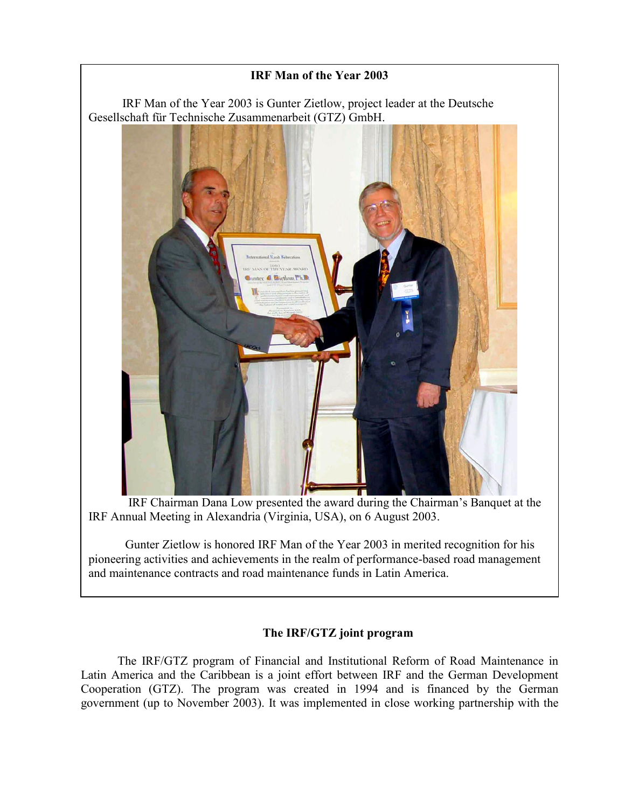## **IRF Man of the Year 2003**  IRF Man of the Year 2003 is Gunter Zietlow, project leader at the Deutsche Gesellschaft für Technische Zusammenarbeit (GTZ) GmbH.

 IRF Chairman Dana Low presented the award during the Chairman's Banquet at the IRF Annual Meeting in Alexandria (Virginia, USA), on 6 August 2003.

 Gunter Zietlow is honored IRF Man of the Year 2003 in merited recognition for his pioneering activities and achievements in the realm of performance-based road management and maintenance contracts and road maintenance funds in Latin America.

## **The IRF/GTZ joint program**

The IRF/GTZ program of Financial and Institutional Reform of Road Maintenance in Latin America and the Caribbean is a joint effort between IRF and the German Development Cooperation (GTZ). The program was created in 1994 and is financed by the German government (up to November 2003). It was implemented in close working partnership with the